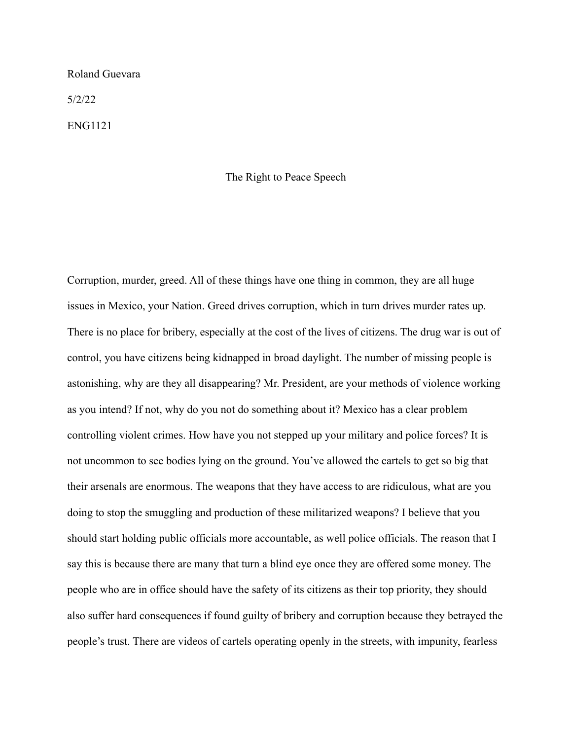## Roland Guevara

5/2/22

ENG1121

## The Right to Peace Speech

Corruption, murder, greed. All of these things have one thing in common, they are all huge issues in Mexico, your Nation. Greed drives corruption, which in turn drives murder rates up. There is no place for bribery, especially at the cost of the lives of citizens. The drug war is out of control, you have citizens being kidnapped in broad daylight. The number of missing people is astonishing, why are they all disappearing? Mr. President, are your methods of violence working as you intend? If not, why do you not do something about it? Mexico has a clear problem controlling violent crimes. How have you not stepped up your military and police forces? It is not uncommon to see bodies lying on the ground. You've allowed the cartels to get so big that their arsenals are enormous. The weapons that they have access to are ridiculous, what are you doing to stop the smuggling and production of these militarized weapons? I believe that you should start holding public officials more accountable, as well police officials. The reason that I say this is because there are many that turn a blind eye once they are offered some money. The people who are in office should have the safety of its citizens as their top priority, they should also suffer hard consequences if found guilty of bribery and corruption because they betrayed the people's trust. There are videos of cartels operating openly in the streets, with impunity, fearless